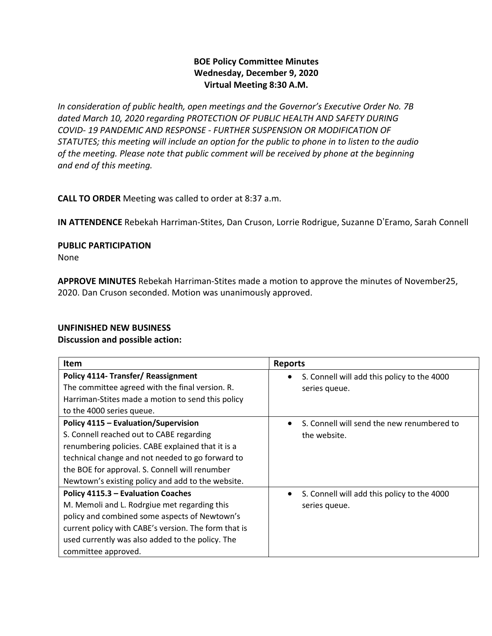## **BOE Policy Committee Minutes Wednesday, December 9, 2020 Virtual Meeting 8:30 A.M.**

*In consideration of public health, open meetings and the Governor's Executive Order No. 7B dated March 10, 2020 regarding PROTECTION OF PUBLIC HEALTH AND SAFETY DURING COVID- 19 PANDEMIC AND RESPONSE - FURTHER SUSPENSION OR MODIFICATION OF STATUTES; this meeting will include an option for the public to phone in to listen to the audio of the meeting. Please note that public comment will be received by phone at the beginning and end of this meeting.*

**CALL TO ORDER** Meeting was called to order at 8:37 a.m.

**IN ATTENDENCE** Rebekah Harriman-Stites, Dan Cruson, Lorrie Rodrigue, Suzanne D'Eramo, Sarah Connell

**PUBLIC PARTICIPATION** 

None

**APPROVE MINUTES** Rebekah Harriman-Stites made a motion to approve the minutes of November25, 2020. Dan Cruson seconded. Motion was unanimously approved.

### **UNFINISHED NEW BUSINESS**

#### **Discussion and possible action:**

| Item                                                                                                                                                                                                                                                                                             | <b>Reports</b>                                               |
|--------------------------------------------------------------------------------------------------------------------------------------------------------------------------------------------------------------------------------------------------------------------------------------------------|--------------------------------------------------------------|
| <b>Policy 4114- Transfer/ Reassignment</b><br>The committee agreed with the final version. R.<br>Harriman-Stites made a motion to send this policy<br>to the 4000 series queue.                                                                                                                  | S. Connell will add this policy to the 4000<br>series queue. |
| Policy 4115 - Evaluation/Supervision<br>S. Connell reached out to CABE regarding<br>renumbering policies. CABE explained that it is a<br>technical change and not needed to go forward to<br>the BOE for approval. S. Connell will renumber<br>Newtown's existing policy and add to the website. | S. Connell will send the new renumbered to<br>the website.   |
| Policy 4115.3 - Evaluation Coaches<br>M. Memoli and L. Rodrgiue met regarding this<br>policy and combined some aspects of Newtown's<br>current policy with CABE's version. The form that is<br>used currently was also added to the policy. The<br>committee approved.                           | S. Connell will add this policy to the 4000<br>series queue. |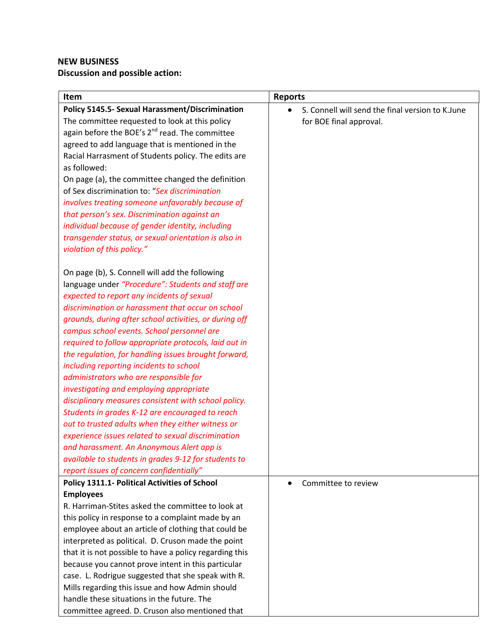# **NEW BUSINESS Discussion and possible action:**

| Item                                                                                                    | <b>Reports</b>                                    |
|---------------------------------------------------------------------------------------------------------|---------------------------------------------------|
| <b>Policy 5145.5- Sexual Harassment/Discrimination</b>                                                  | S. Connell will send the final version to K. June |
| The committee requested to look at this policy                                                          | for BOE final approval.                           |
| again before the BOE's 2 <sup>nd</sup> read. The committee                                              |                                                   |
| agreed to add language that is mentioned in the                                                         |                                                   |
| Racial Harrasment of Students policy. The edits are                                                     |                                                   |
| as followed:                                                                                            |                                                   |
| On page (a), the committee changed the definition                                                       |                                                   |
| of Sex discrimination to: "Sex discrimination                                                           |                                                   |
| involves treating someone unfavorably because of                                                        |                                                   |
| that person's sex. Discrimination against an                                                            |                                                   |
| individual because of gender identity, including                                                        |                                                   |
| transgender status, or sexual orientation is also in                                                    |                                                   |
| violation of this policy."                                                                              |                                                   |
|                                                                                                         |                                                   |
| On page (b), S. Connell will add the following                                                          |                                                   |
| language under "Procedure": Students and staff are                                                      |                                                   |
| expected to report any incidents of sexual                                                              |                                                   |
| discrimination or harassment that occur on school                                                       |                                                   |
| grounds, during after school activities, or during off                                                  |                                                   |
| campus school events. School personnel are                                                              |                                                   |
| required to follow appropriate protocols, laid out in                                                   |                                                   |
| the regulation, for handling issues brought forward,                                                    |                                                   |
| including reporting incidents to school                                                                 |                                                   |
| administrators who are responsible for                                                                  |                                                   |
| investigating and employing appropriate                                                                 |                                                   |
| disciplinary measures consistent with school policy.                                                    |                                                   |
| Students in grades K-12 are encouraged to reach                                                         |                                                   |
| out to trusted adults when they either witness or<br>experience issues related to sexual discrimination |                                                   |
|                                                                                                         |                                                   |
| and harassment. An Anonymous Alert app is<br>available to students in grades 9-12 for students to       |                                                   |
| report issues of concern confidentially"                                                                |                                                   |
| Policy 1311.1- Political Activities of School                                                           | Committee to review                               |
| <b>Employees</b>                                                                                        |                                                   |
| R. Harriman-Stites asked the committee to look at                                                       |                                                   |
| this policy in response to a complaint made by an                                                       |                                                   |
| employee about an article of clothing that could be                                                     |                                                   |
| interpreted as political. D. Cruson made the point                                                      |                                                   |
| that it is not possible to have a policy regarding this                                                 |                                                   |
| because you cannot prove intent in this particular                                                      |                                                   |
| case. L. Rodrigue suggested that she speak with R.                                                      |                                                   |
| Mills regarding this issue and how Admin should                                                         |                                                   |
| handle these situations in the future. The                                                              |                                                   |
| committee agreed. D. Cruson also mentioned that                                                         |                                                   |